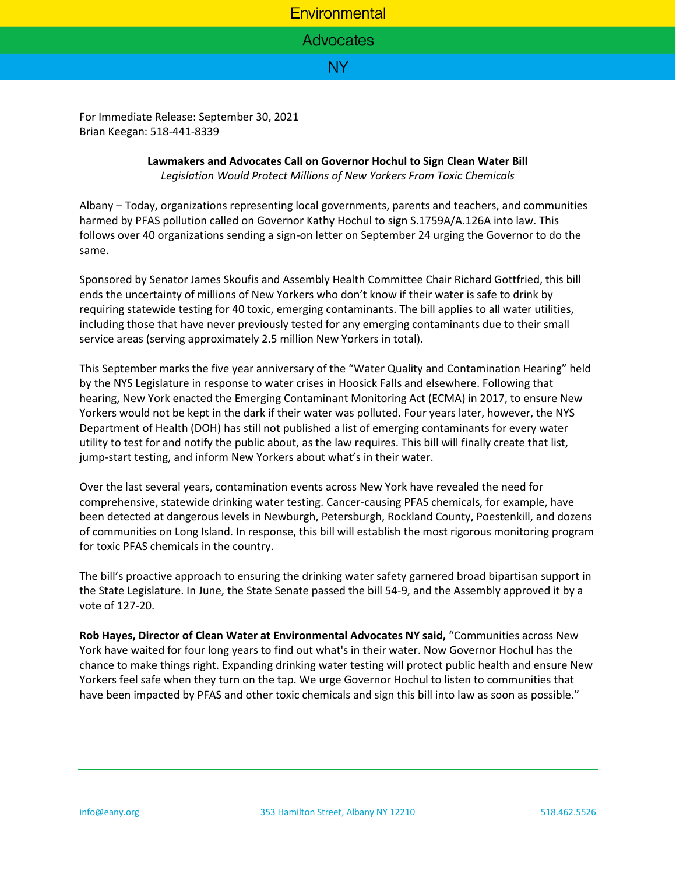## Environmental

**Advocates** 

## NY.

For Immediate Release: September 30, 2021 Brian Keegan: 518-441-8339

## **Lawmakers and Advocates Call on Governor Hochul to Sign Clean Water Bill** *Legislation Would Protect Millions of New Yorkers From Toxic Chemicals*

Albany – Today, organizations representing local governments, parents and teachers, and communities harmed by PFAS pollution called on Governor Kathy Hochul to sign S.1759A/A.126A into law. This follows over 40 organizations sending a sign-on letter on September 24 urging the Governor to do the same.

Sponsored by Senator James Skoufis and Assembly Health Committee Chair Richard Gottfried, this bill ends the uncertainty of millions of New Yorkers who don't know if their water is safe to drink by requiring statewide testing for 40 toxic, emerging contaminants. The bill applies to all water utilities, including those that have never previously tested for any emerging contaminants due to their small service areas (serving approximately 2.5 million New Yorkers in total).

This September marks the five year anniversary of the "Water Quality and Contamination Hearing" held by the NYS Legislature in response to water crises in Hoosick Falls and elsewhere. Following that hearing, New York enacted the Emerging Contaminant Monitoring Act (ECMA) in 2017, to ensure New Yorkers would not be kept in the dark if their water was polluted. Four years later, however, the NYS Department of Health (DOH) has still not published a list of emerging contaminants for every water utility to test for and notify the public about, as the law requires. This bill will finally create that list, jump-start testing, and inform New Yorkers about what's in their water.

Over the last several years, contamination events across New York have revealed the need for comprehensive, statewide drinking water testing. Cancer-causing PFAS chemicals, for example, have been detected at dangerous levels in Newburgh, Petersburgh, Rockland County, Poestenkill, and dozens of communities on Long Island. In response, this bill will establish the most rigorous monitoring program for toxic PFAS chemicals in the country.

The bill's proactive approach to ensuring the drinking water safety garnered broad bipartisan support in the State Legislature. In June, the State Senate passed the bill 54-9, and the Assembly approved it by a vote of 127-20.

**Rob Hayes, Director of Clean Water at Environmental Advocates NY said,** "Communities across New York have waited for four long years to find out what's in their water. Now Governor Hochul has the chance to make things right. Expanding drinking water testing will protect public health and ensure New Yorkers feel safe when they turn on the tap. We urge Governor Hochul to listen to communities that have been impacted by PFAS and other toxic chemicals and sign this bill into law as soon as possible."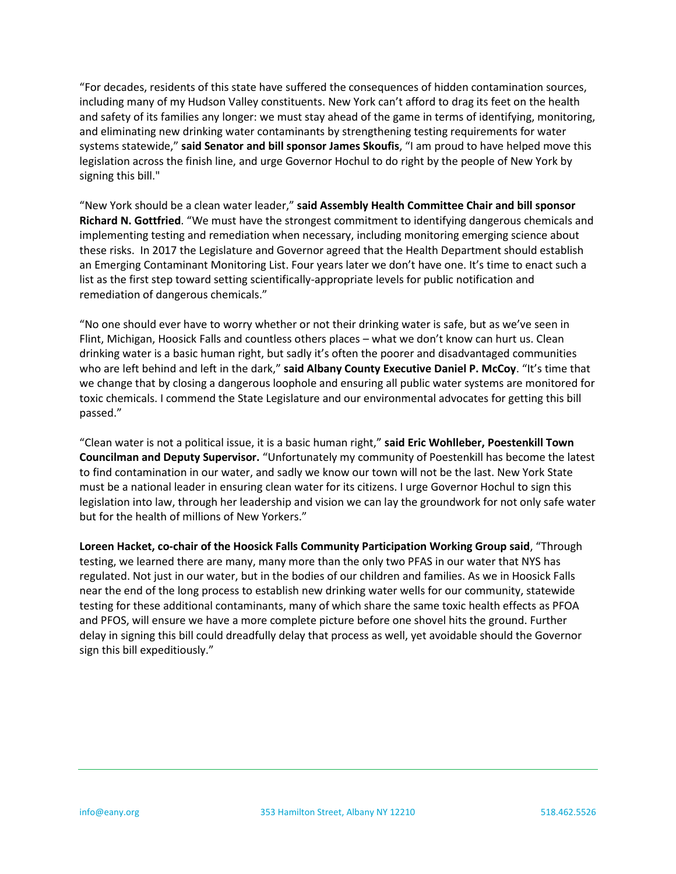"For decades, residents of this state have suffered the consequences of hidden contamination sources, including many of my Hudson Valley constituents. New York can't afford to drag its feet on the health and safety of its families any longer: we must stay ahead of the game in terms of identifying, monitoring, and eliminating new drinking water contaminants by strengthening testing requirements for water systems statewide," **said Senator and bill sponsor James Skoufis**, "I am proud to have helped move this legislation across the finish line, and urge Governor Hochul to do right by the people of New York by signing this bill."

"New York should be a clean water leader," **said Assembly Health Committee Chair and bill sponsor Richard N. Gottfried**. "We must have the strongest commitment to identifying dangerous chemicals and implementing testing and remediation when necessary, including monitoring emerging science about these risks. In 2017 the Legislature and Governor agreed that the Health Department should establish an Emerging Contaminant Monitoring List. Four years later we don't have one. It's time to enact such a list as the first step toward setting scientifically-appropriate levels for public notification and remediation of dangerous chemicals."

"No one should ever have to worry whether or not their drinking water is safe, but as we've seen in Flint, Michigan, Hoosick Falls and countless others places – what we don't know can hurt us. Clean drinking water is a basic human right, but sadly it's often the poorer and disadvantaged communities who are left behind and left in the dark," **said Albany County Executive Daniel P. McCoy**. "It's time that we change that by closing a dangerous loophole and ensuring all public water systems are monitored for toxic chemicals. I commend the State Legislature and our environmental advocates for getting this bill passed."

"Clean water is not a political issue, it is a basic human right," **said Eric Wohlleber, Poestenkill Town Councilman and Deputy Supervisor.** "Unfortunately my community of Poestenkill has become the latest to find contamination in our water, and sadly we know our town will not be the last. New York State must be a national leader in ensuring clean water for its citizens. I urge Governor Hochul to sign this legislation into law, through her leadership and vision we can lay the groundwork for not only safe water but for the health of millions of New Yorkers."

**Loreen Hacket, co-chair of the Hoosick Falls Community Participation Working Group said**, "Through testing, we learned there are many, many more than the only two PFAS in our water that NYS has regulated. Not just in our water, but in the bodies of our children and families. As we in Hoosick Falls near the end of the long process to establish new drinking water wells for our community, statewide testing for these additional contaminants, many of which share the same toxic health effects as PFOA and PFOS, will ensure we have a more complete picture before one shovel hits the ground. Further delay in signing this bill could dreadfully delay that process as well, yet avoidable should the Governor sign this bill expeditiously."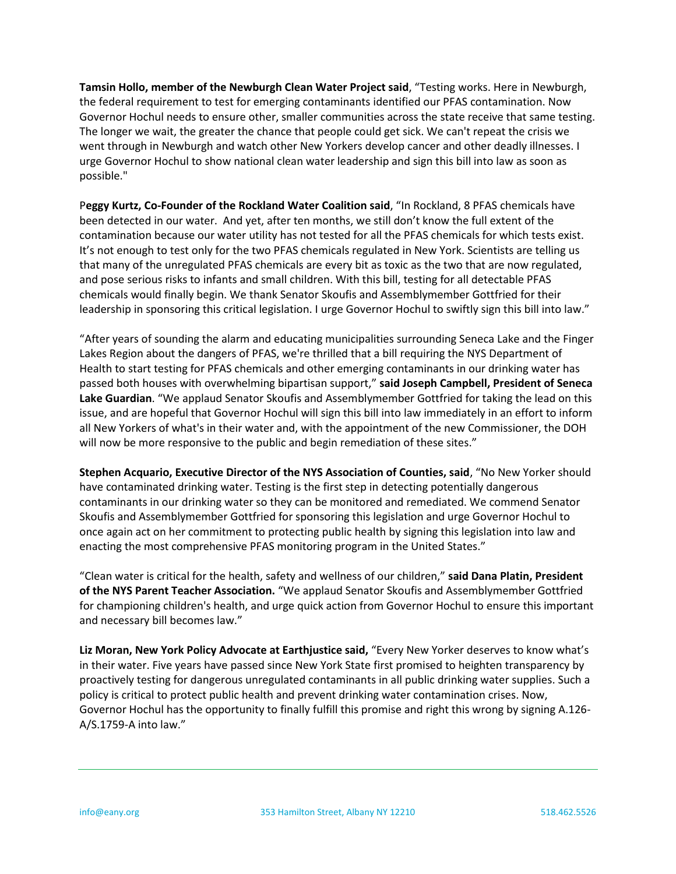**Tamsin Hollo, member of the Newburgh Clean Water Project said**, "Testing works. Here in Newburgh, the federal requirement to test for emerging contaminants identified our PFAS contamination. Now Governor Hochul needs to ensure other, smaller communities across the state receive that same testing. The longer we wait, the greater the chance that people could get sick. We can't repeat the crisis we went through in Newburgh and watch other New Yorkers develop cancer and other deadly illnesses. I urge Governor Hochul to show national clean water leadership and sign this bill into law as soon as possible."

P**eggy Kurtz, Co-Founder of the Rockland Water Coalition said**, "In Rockland, 8 PFAS chemicals have been detected in our water. And yet, after ten months, we still don't know the full extent of the contamination because our water utility has not tested for all the PFAS chemicals for which tests exist. It's not enough to test only for the two PFAS chemicals regulated in New York. Scientists are telling us that many of the unregulated PFAS chemicals are every bit as toxic as the two that are now regulated, and pose serious risks to infants and small children. With this bill, testing for all detectable PFAS chemicals would finally begin. We thank Senator Skoufis and Assemblymember Gottfried for their leadership in sponsoring this critical legislation. I urge Governor Hochul to swiftly sign this bill into law."

"After years of sounding the alarm and educating municipalities surrounding Seneca Lake and the Finger Lakes Region about the dangers of PFAS, we're thrilled that a bill requiring the NYS Department of Health to start testing for PFAS chemicals and other emerging contaminants in our drinking water has passed both houses with overwhelming bipartisan support," **said Joseph Campbell, President of Seneca Lake Guardian**. "We applaud Senator Skoufis and Assemblymember Gottfried for taking the lead on this issue, and are hopeful that Governor Hochul will sign this bill into law immediately in an effort to inform all New Yorkers of what's in their water and, with the appointment of the new Commissioner, the DOH will now be more responsive to the public and begin remediation of these sites."

**Stephen Acquario, Executive Director of the NYS Association of Counties, said**, "No New Yorker should have contaminated drinking water. Testing is the first step in detecting potentially dangerous contaminants in our drinking water so they can be monitored and remediated. We commend Senator Skoufis and Assemblymember Gottfried for sponsoring this legislation and urge Governor Hochul to once again act on her commitment to protecting public health by signing this legislation into law and enacting the most comprehensive PFAS monitoring program in the United States."

"Clean water is critical for the health, safety and wellness of our children," **said Dana Platin, President of the NYS Parent Teacher Association.** "We applaud Senator Skoufis and Assemblymember Gottfried for championing children's health, and urge quick action from Governor Hochul to ensure this important and necessary bill becomes law."

**Liz Moran, New York Policy Advocate at Earthjustice said,** "Every New Yorker deserves to know what's in their water. Five years have passed since New York State first promised to heighten transparency by proactively testing for dangerous unregulated contaminants in all public drinking water supplies. Such a policy is critical to protect public health and prevent drinking water contamination crises. Now, Governor Hochul has the opportunity to finally fulfill this promise and right this wrong by signing A.126- A/S.1759-A into law."